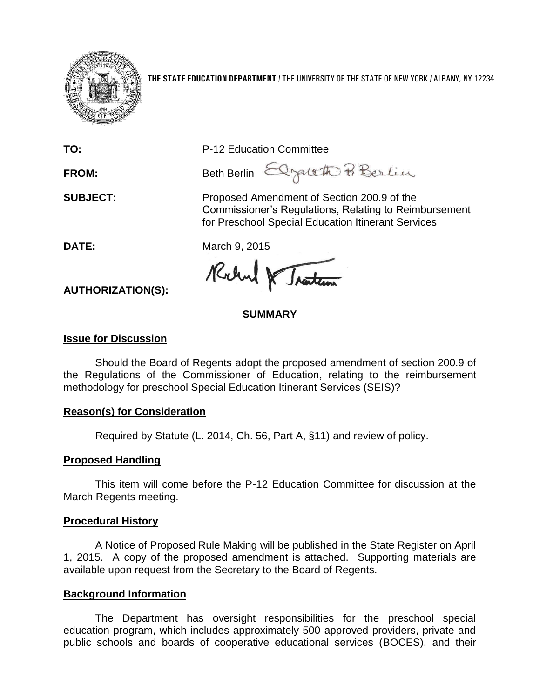

**THE STATE EDUCATION DEPARTMENT** / THE UNIVERSITY OF THE STATE OF NEW YORK / ALBANY, NY 12234

**TO:** P-12 Education Committee

FROM: Beth Berlin Elgent & Berlin

**SUBJECT:** Proposed Amendment of Section 200.9 of the Commissioner's Regulations, Relating to Reimbursement for Preschool Special Education Itinerant Services

**DATE:** March 9, 2015

Rochel & Traiter

**SUMMARY**

## **Issue for Discussion**

**AUTHORIZATION(S):**

Should the Board of Regents adopt the proposed amendment of section 200.9 of the Regulations of the Commissioner of Education, relating to the reimbursement methodology for preschool Special Education Itinerant Services (SEIS)?

# **Reason(s) for Consideration**

Required by Statute (L. 2014, Ch. 56, Part A, §11) and review of policy.

# **Proposed Handling**

This item will come before the P-12 Education Committee for discussion at the March Regents meeting.

# **Procedural History**

A Notice of Proposed Rule Making will be published in the State Register on April 1, 2015. A copy of the proposed amendment is attached. Supporting materials are available upon request from the Secretary to the Board of Regents.

# **Background Information**

The Department has oversight responsibilities for the preschool special education program, which includes approximately 500 approved providers, private and public schools and boards of cooperative educational services (BOCES), and their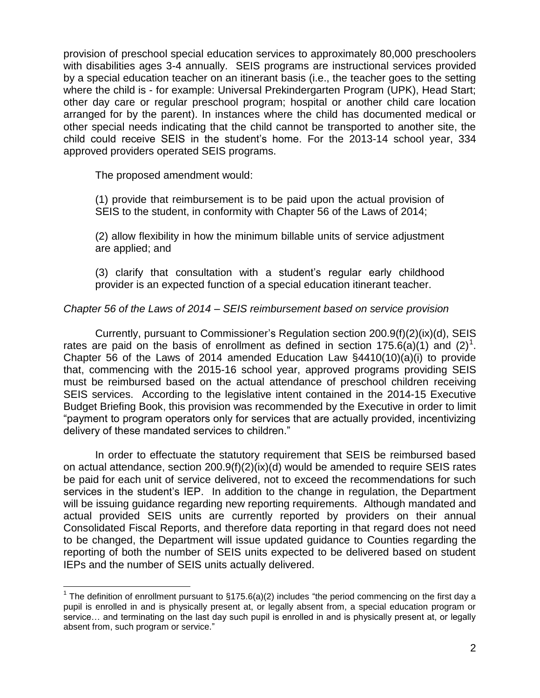provision of preschool special education services to approximately 80,000 preschoolers with disabilities ages 3-4 annually. SEIS programs are instructional services provided by a special education teacher on an itinerant basis (i.e., the teacher goes to the setting where the child is - for example: Universal Prekindergarten Program (UPK), Head Start; other day care or regular preschool program; hospital or another child care location arranged for by the parent). In instances where the child has documented medical or other special needs indicating that the child cannot be transported to another site, the child could receive SEIS in the student's home. For the 2013-14 school year, 334 approved providers operated SEIS programs.

The proposed amendment would:

(1) provide that reimbursement is to be paid upon the actual provision of SEIS to the student, in conformity with Chapter 56 of the Laws of 2014;

(2) allow flexibility in how the minimum billable units of service adjustment are applied; and

(3) clarify that consultation with a student's regular early childhood provider is an expected function of a special education itinerant teacher.

## *Chapter 56 of the Laws of 2014 – SEIS reimbursement based on service provision*

Currently, pursuant to Commissioner's Regulation section 200.9(f)(2)(ix)(d), SEIS rates are paid on the basis of enrollment as defined in section 175.6(a)(1) and (2)<sup>1</sup>. Chapter 56 of the Laws of 2014 amended Education Law  $\S$ 4410(10)(a)(i) to provide that, commencing with the 2015-16 school year, approved programs providing SEIS must be reimbursed based on the actual attendance of preschool children receiving SEIS services. According to the legislative intent contained in the 2014-15 Executive Budget Briefing Book, this provision was recommended by the Executive in order to limit "payment to program operators only for services that are actually provided, incentivizing delivery of these mandated services to children."

In order to effectuate the statutory requirement that SEIS be reimbursed based on actual attendance, section 200.9(f)(2)(ix)(d) would be amended to require SEIS rates be paid for each unit of service delivered, not to exceed the recommendations for such services in the student's IEP. In addition to the change in regulation, the Department will be issuing guidance regarding new reporting requirements. Although mandated and actual provided SEIS units are currently reported by providers on their annual Consolidated Fiscal Reports, and therefore data reporting in that regard does not need to be changed, the Department will issue updated guidance to Counties regarding the reporting of both the number of SEIS units expected to be delivered based on student IEPs and the number of SEIS units actually delivered.

 $\overline{a}$ <sup>1</sup> The definition of enrollment pursuant to §175.6(a)(2) includes "the period commencing on the first day a pupil is enrolled in and is physically present at, or legally absent from, a special education program or service… and terminating on the last day such pupil is enrolled in and is physically present at, or legally absent from, such program or service."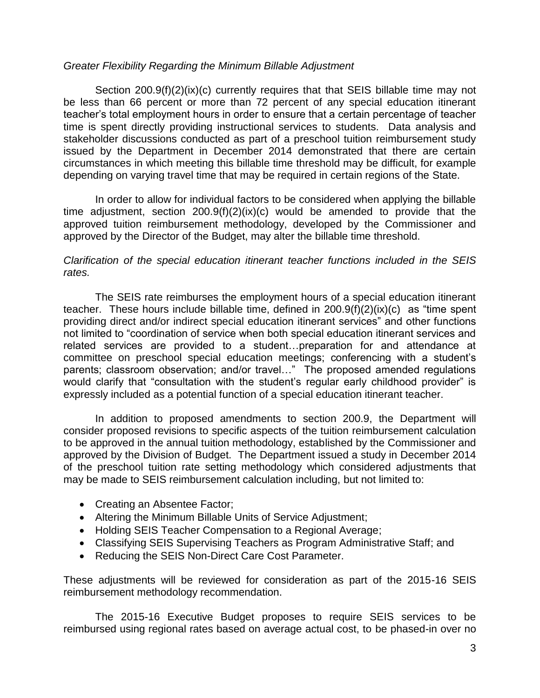#### *Greater Flexibility Regarding the Minimum Billable Adjustment*

Section 200.9(f)(2)(ix)(c) currently requires that that SEIS billable time may not be less than 66 percent or more than 72 percent of any special education itinerant teacher's total employment hours in order to ensure that a certain percentage of teacher time is spent directly providing instructional services to students. Data analysis and stakeholder discussions conducted as part of a preschool tuition reimbursement study issued by the Department in December 2014 demonstrated that there are certain circumstances in which meeting this billable time threshold may be difficult, for example depending on varying travel time that may be required in certain regions of the State.

In order to allow for individual factors to be considered when applying the billable time adjustment, section 200.9(f)(2)(ix)(c) would be amended to provide that the approved tuition reimbursement methodology, developed by the Commissioner and approved by the Director of the Budget, may alter the billable time threshold.

## *Clarification of the special education itinerant teacher functions included in the SEIS rates.*

The SEIS rate reimburses the employment hours of a special education itinerant teacher. These hours include billable time, defined in 200.9(f)(2)(ix)(c) as "time spent providing direct and/or indirect special education itinerant services" and other functions not limited to "coordination of service when both special education itinerant services and related services are provided to a student…preparation for and attendance at committee on preschool special education meetings; conferencing with a student's parents; classroom observation; and/or travel…" The proposed amended regulations would clarify that "consultation with the student's regular early childhood provider" is expressly included as a potential function of a special education itinerant teacher.

In addition to proposed amendments to section 200.9, the Department will consider proposed revisions to specific aspects of the tuition reimbursement calculation to be approved in the annual tuition methodology, established by the Commissioner and approved by the Division of Budget. The Department issued a study in December 2014 of the preschool tuition rate setting methodology which considered adjustments that may be made to SEIS reimbursement calculation including, but not limited to:

- Creating an Absentee Factor;
- Altering the Minimum Billable Units of Service Adjustment;
- Holding SEIS Teacher Compensation to a Regional Average;
- Classifying SEIS Supervising Teachers as Program Administrative Staff; and
- Reducing the SEIS Non-Direct Care Cost Parameter.

These adjustments will be reviewed for consideration as part of the 2015-16 SEIS reimbursement methodology recommendation.

The 2015-16 Executive Budget proposes to require SEIS services to be reimbursed using regional rates based on average actual cost, to be phased-in over no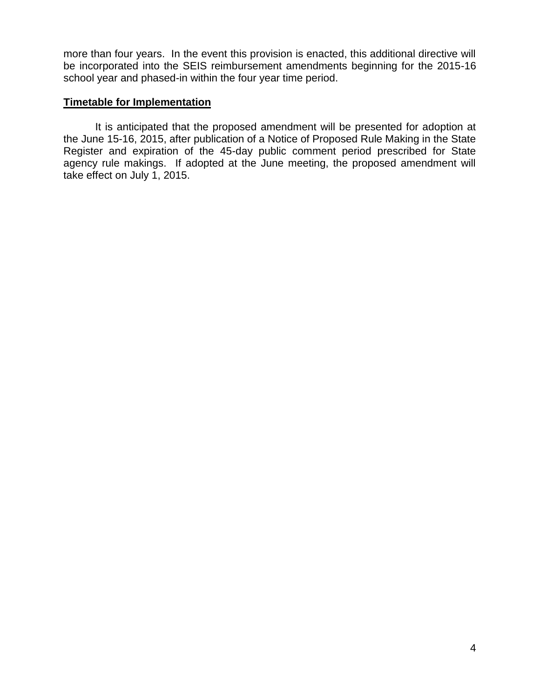more than four years. In the event this provision is enacted, this additional directive will be incorporated into the SEIS reimbursement amendments beginning for the 2015-16 school year and phased-in within the four year time period.

### **Timetable for Implementation**

It is anticipated that the proposed amendment will be presented for adoption at the June 15-16, 2015, after publication of a Notice of Proposed Rule Making in the State Register and expiration of the 45-day public comment period prescribed for State agency rule makings. If adopted at the June meeting, the proposed amendment will take effect on July 1, 2015.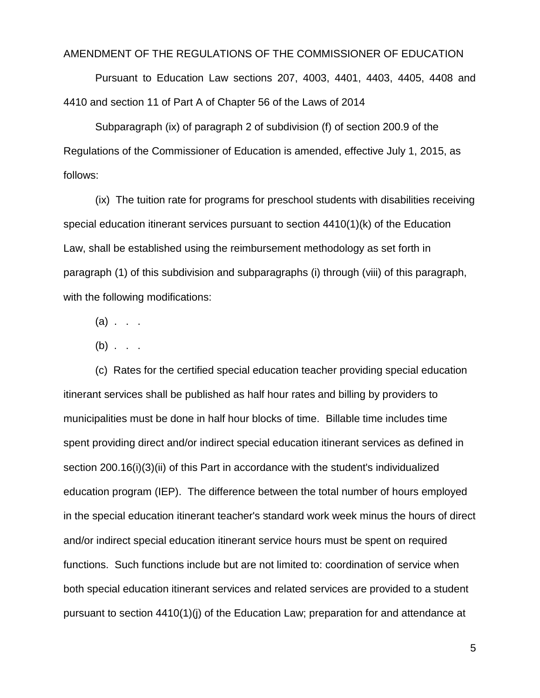#### AMENDMENT OF THE REGULATIONS OF THE COMMISSIONER OF EDUCATION

Pursuant to Education Law sections 207, 4003, 4401, 4403, 4405, 4408 and 4410 and section 11 of Part A of Chapter 56 of the Laws of 2014

Subparagraph (ix) of paragraph 2 of subdivision (f) of section 200.9 of the Regulations of the Commissioner of Education is amended, effective July 1, 2015, as follows:

(ix) The tuition rate for programs for preschool students with disabilities receiving special education itinerant services pursuant to section 4410(1)(k) of the Education Law, shall be established using the reimbursement methodology as set forth in paragraph (1) of this subdivision and subparagraphs (i) through (viii) of this paragraph, with the following modifications:

 $(a)$  . . .

 $(b)$  . . .

(c) Rates for the certified special education teacher providing special education itinerant services shall be published as half hour rates and billing by providers to municipalities must be done in half hour blocks of time. Billable time includes time spent providing direct and/or indirect special education itinerant services as defined in section 200.16(i)(3)(ii) of this Part in accordance with the student's individualized education program (IEP). The difference between the total number of hours employed in the special education itinerant teacher's standard work week minus the hours of direct and/or indirect special education itinerant service hours must be spent on required functions. Such functions include but are not limited to: coordination of service when both special education itinerant services and related services are provided to a student pursuant to section 4410(1)(j) of the Education Law; preparation for and attendance at